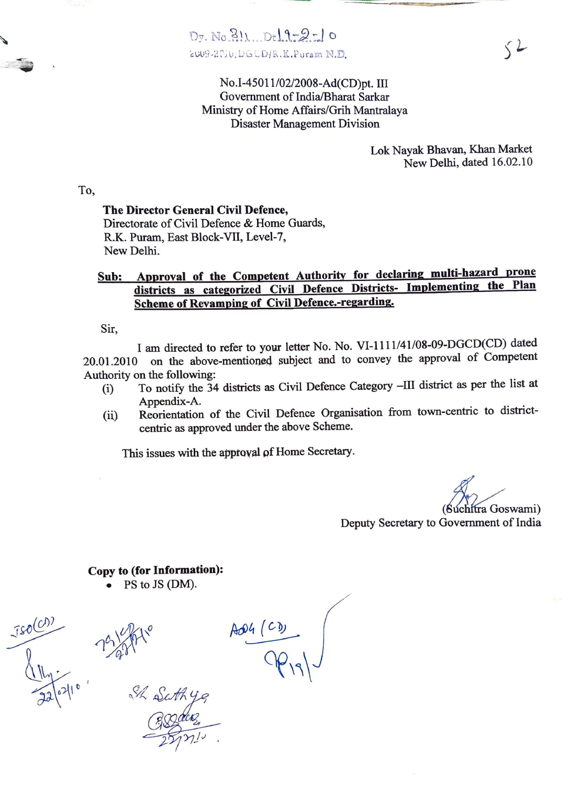

No.I-45011/02/2008-Ad(CD)pt. III Government of India/Bharat Sarkar Ministry of Home Affairs/Grih Mantralaya Disaster Management Division

> Lok Nayak Bhavan, Khan Market New Delhi, dated 16.02.10

To,

## The Director General Civil Defence,

Directorate of Civil Defence & Home Guards, R.K. Puram, East Block-VII, Level-7, New Delhi.

## Sub: Approval of the Competent Authority for declaring multi-hazard prone districts as categorized Civil Defence Districts- Implementing the Plan Scheme of Revamping of Civil Defence.-regarding.

Sir,

I am directed to refer to your letter No. No. VI-1111/41/08-09-DGCD(CD) dated 20.01.2010 on the above-mentioned subject and to convey the approval of Competent Authority on the following:

- ) To notify the 34 districts as Civil Defence Category -II district as per the list at
- Reorientation of the Civil Defence Organisation from town-centric to district-(ii) Reorientation of the Civil Defence Organic centric as approved under the above Scheme.

This issues with the approval of Home Secretary.

(Súchítra Goswami)

Deputy Secretary to Government of India

Copy to (for Information):

PS to JS (DM).

 $-25721$ 

Ao4 ( P